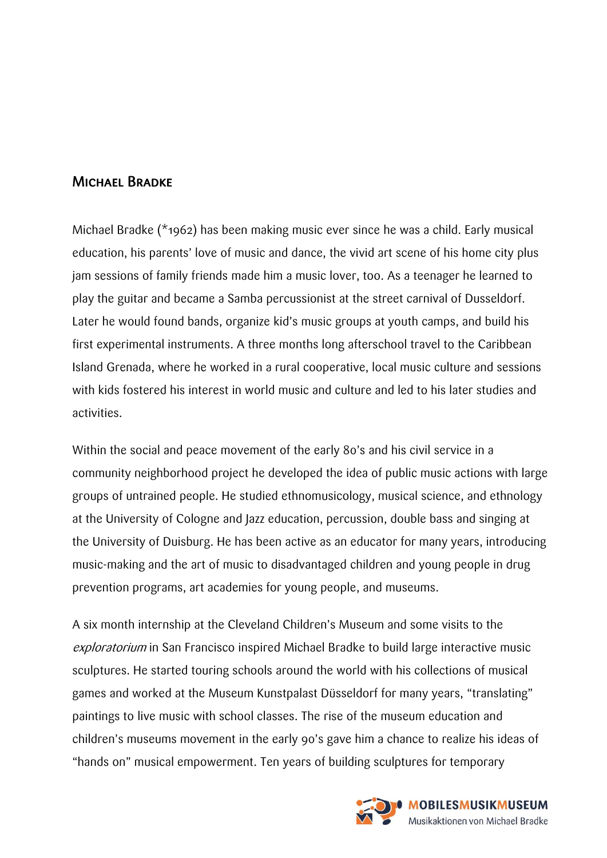## Michael Bradke

Michael Bradke (\*1962) has been making music ever since he was a child. Early musical education, his parents' love of music and dance, the vivid art scene of his home city plus jam sessions of family friends made him a music lover, too. As a teenager he learned to play the guitar and became a Samba percussionist at the street carnival of Dusseldorf. Later he would found bands, organize kid's music groups at youth camps, and build his first experimental instruments. A three months long afterschool travel to the Caribbean Island Grenada, where he worked in a rural cooperative, local music culture and sessions with kids fostered his interest in world music and culture and led to his later studies and activities.

Within the social and peace movement of the early 80's and his civil service in a community neighborhood project he developed the idea of public music actions with large groups of untrained people. He studied ethnomusicology, musical science, and ethnology at the University of Cologne and Jazz education, percussion, double bass and singing at the University of Duisburg. He has been active as an educator for many years, introducing music-making and the art of music to disadvantaged children and young people in drug prevention programs, art academies for young people, and museums.

A six month internship at the Cleveland Children's Museum and some visits to the exploratorium in San Francisco inspired Michael Bradke to build large interactive music sculptures. He started touring schools around the world with his collections of musical games and worked at the Museum Kunstpalast Düsseldorf for many years, "translating" paintings to live music with school classes. The rise of the museum education and children's museums movement in the early 90's gave him a chance to realize his ideas of "hands on" musical empowerment. Ten years of building sculptures for temporary